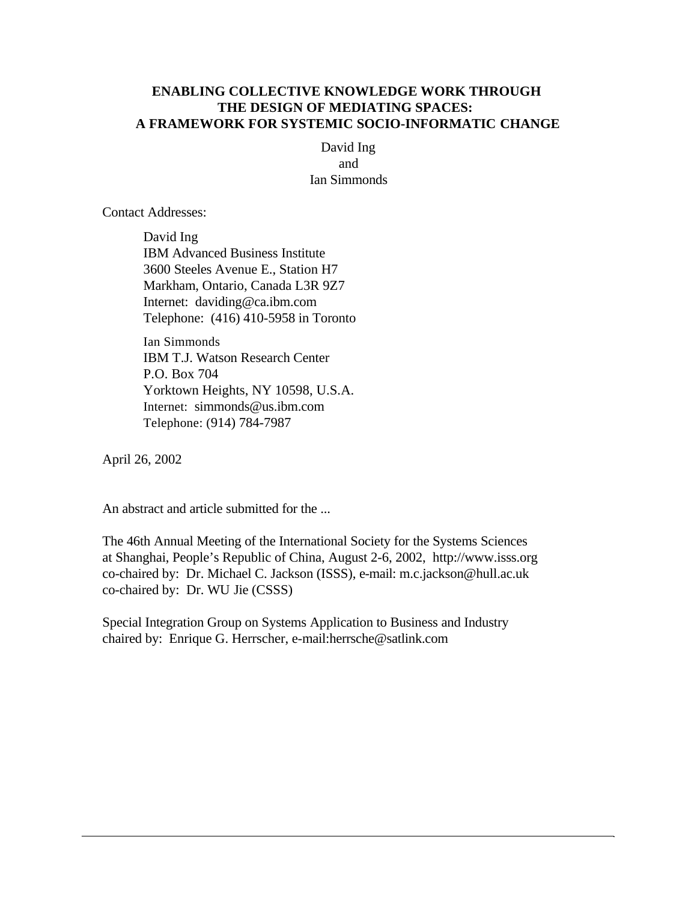## **ENABLING COLLECTIVE KNOWLEDGE WORK THROUGH THE DESIGN OF MEDIATING SPACES: A FRAMEWORK FOR SYSTEMIC SOCIO-INFORMATIC CHANGE**

David Ing and Ian Simmonds

Contact Addresses:

David Ing IBM Advanced Business Institute 3600 Steeles Avenue E., Station H7 Markham, Ontario, Canada L3R 9Z7 Internet: daviding@ca.ibm.com Telephone: (416) 410-5958 in Toronto

Ian Simmonds IBM T.J. Watson Research Center P.O. Box 704 Yorktown Heights, NY 10598, U.S.A. Internet: simmonds@us.ibm.com Telephone: (914) 784-7987

April 26, 2002

An abstract and article submitted for the ...

The 46th Annual Meeting of the International Society for the Systems Sciences at Shanghai, People's Republic of China, August 2-6, 2002, http://www.isss.org co-chaired by: Dr. Michael C. Jackson (ISSS), e-mail: m.c.jackson@hull.ac.uk co-chaired by: Dr. WU Jie (CSSS)

Special Integration Group on Systems Application to Business and Industry chaired by: Enrique G. Herrscher, e-mail:herrsche@satlink.com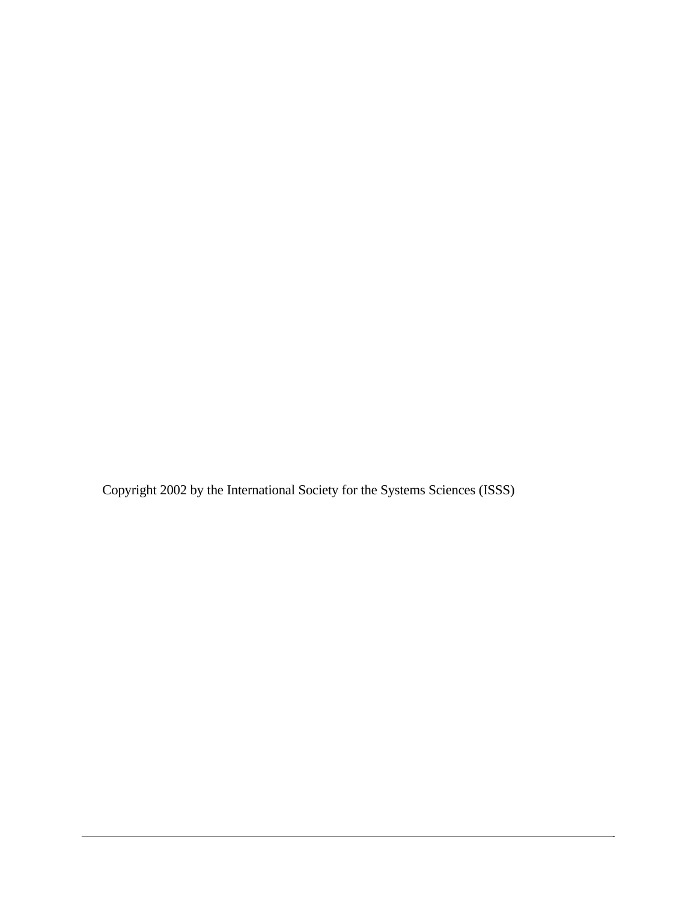Copyright 2002 by the International Society for the Systems Sciences (ISSS)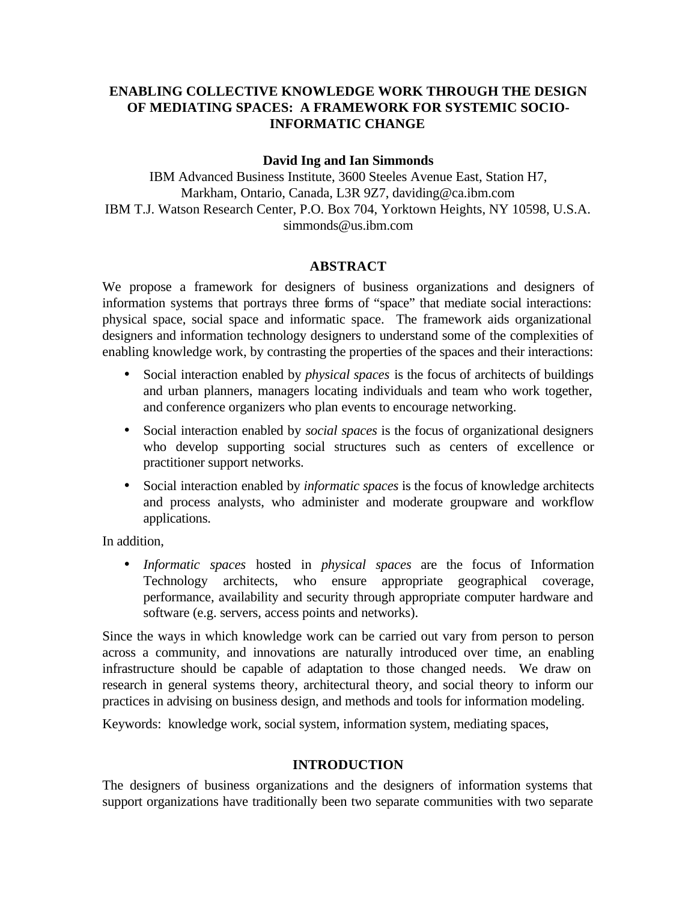# **ENABLING COLLECTIVE KNOWLEDGE WORK THROUGH THE DESIGN OF MEDIATING SPACES: A FRAMEWORK FOR SYSTEMIC SOCIO-INFORMATIC CHANGE**

## **David Ing and Ian Simmonds**

IBM Advanced Business Institute, 3600 Steeles Avenue East, Station H7, Markham, Ontario, Canada, L3R 9Z7, daviding@ca.ibm.com IBM T.J. Watson Research Center, P.O. Box 704, Yorktown Heights, NY 10598, U.S.A. simmonds@us.ibm.com

### **ABSTRACT**

We propose a framework for designers of business organizations and designers of information systems that portrays three forms of "space" that mediate social interactions: physical space, social space and informatic space. The framework aids organizational designers and information technology designers to understand some of the complexities of enabling knowledge work, by contrasting the properties of the spaces and their interactions:

- Social interaction enabled by *physical spaces* is the focus of architects of buildings and urban planners, managers locating individuals and team who work together, and conference organizers who plan events to encourage networking.
- Social interaction enabled by *social spaces* is the focus of organizational designers who develop supporting social structures such as centers of excellence or practitioner support networks.
- Social interaction enabled by *informatic spaces* is the focus of knowledge architects and process analysts, who administer and moderate groupware and workflow applications.

In addition,

• *Informatic spaces* hosted in *physical spaces* are the focus of Information Technology architects, who ensure appropriate geographical coverage, performance, availability and security through appropriate computer hardware and software (e.g. servers, access points and networks).

Since the ways in which knowledge work can be carried out vary from person to person across a community, and innovations are naturally introduced over time, an enabling infrastructure should be capable of adaptation to those changed needs. We draw on research in general systems theory, architectural theory, and social theory to inform our practices in advising on business design, and methods and tools for information modeling.

Keywords: knowledge work, social system, information system, mediating spaces,

## **INTRODUCTION**

The designers of business organizations and the designers of information systems that support organizations have traditionally been two separate communities with two separate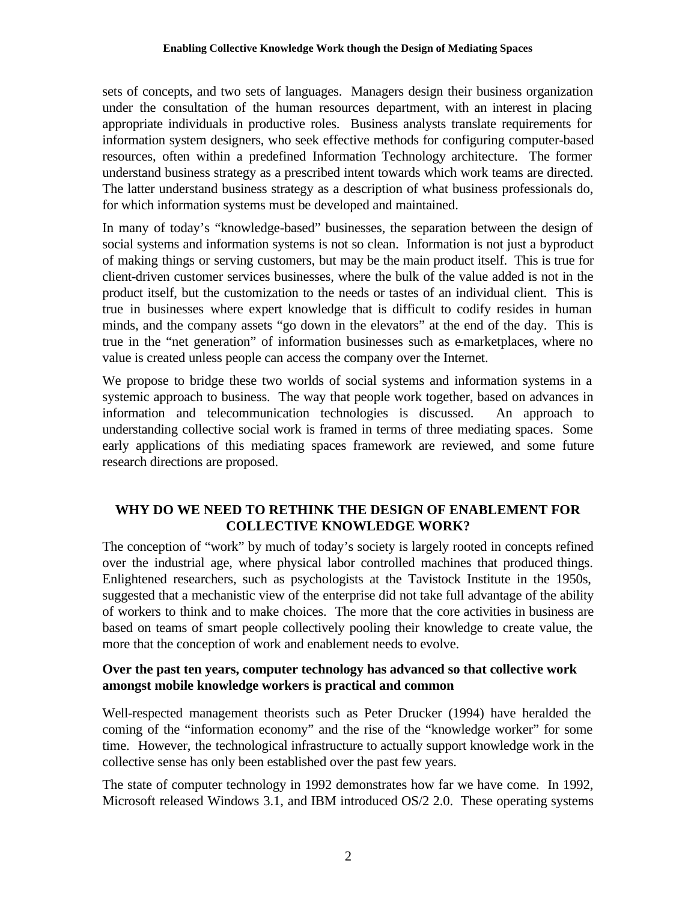sets of concepts, and two sets of languages. Managers design their business organization under the consultation of the human resources department, with an interest in placing appropriate individuals in productive roles. Business analysts translate requirements for information system designers, who seek effective methods for configuring computer-based resources, often within a predefined Information Technology architecture. The former understand business strategy as a prescribed intent towards which work teams are directed. The latter understand business strategy as a description of what business professionals do, for which information systems must be developed and maintained.

In many of today's "knowledge-based" businesses, the separation between the design of social systems and information systems is not so clean. Information is not just a byproduct of making things or serving customers, but may be the main product itself. This is true for client-driven customer services businesses, where the bulk of the value added is not in the product itself, but the customization to the needs or tastes of an individual client. This is true in businesses where expert knowledge that is difficult to codify resides in human minds, and the company assets "go down in the elevators" at the end of the day. This is true in the "net generation" of information businesses such as e-marketplaces, where no value is created unless people can access the company over the Internet.

We propose to bridge these two worlds of social systems and information systems in a systemic approach to business. The way that people work together, based on advances in information and telecommunication technologies is discussed. An approach to understanding collective social work is framed in terms of three mediating spaces. Some early applications of this mediating spaces framework are reviewed, and some future research directions are proposed.

# **WHY DO WE NEED TO RETHINK THE DESIGN OF ENABLEMENT FOR COLLECTIVE KNOWLEDGE WORK?**

The conception of "work" by much of today's society is largely rooted in concepts refined over the industrial age, where physical labor controlled machines that produced things. Enlightened researchers, such as psychologists at the Tavistock Institute in the 1950s, suggested that a mechanistic view of the enterprise did not take full advantage of the ability of workers to think and to make choices. The more that the core activities in business are based on teams of smart people collectively pooling their knowledge to create value, the more that the conception of work and enablement needs to evolve.

## **Over the past ten years, computer technology has advanced so that collective work amongst mobile knowledge workers is practical and common**

Well-respected management theorists such as Peter Drucker (1994) have heralded the coming of the "information economy" and the rise of the "knowledge worker" for some time. However, the technological infrastructure to actually support knowledge work in the collective sense has only been established over the past few years.

The state of computer technology in 1992 demonstrates how far we have come. In 1992, Microsoft released Windows 3.1, and IBM introduced OS/2 2.0. These operating systems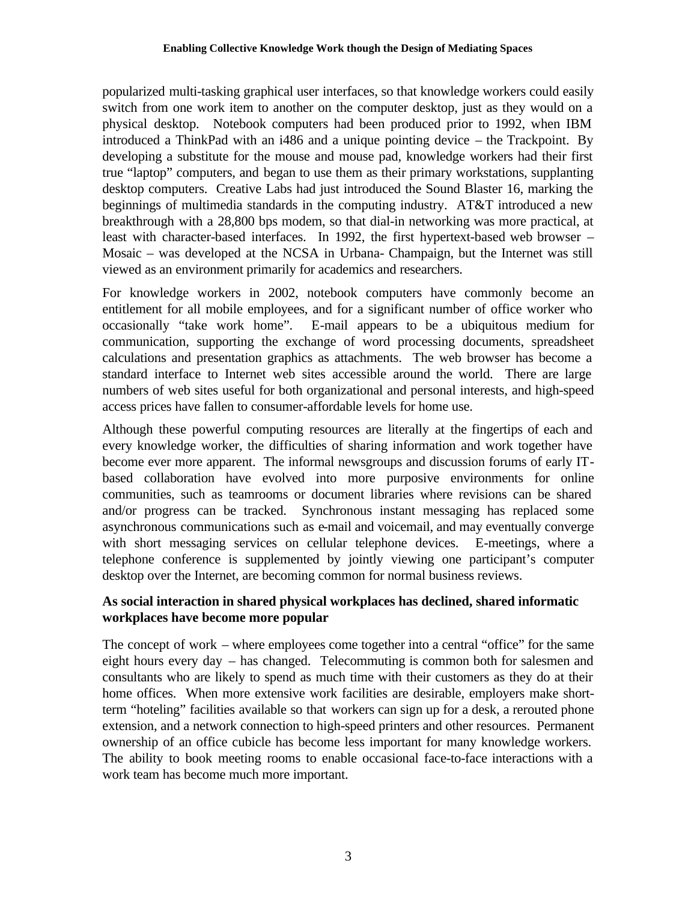popularized multi-tasking graphical user interfaces, so that knowledge workers could easily switch from one work item to another on the computer desktop, just as they would on a physical desktop. Notebook computers had been produced prior to 1992, when IBM introduced a ThinkPad with an i486 and a unique pointing device – the Trackpoint. By developing a substitute for the mouse and mouse pad, knowledge workers had their first true "laptop" computers, and began to use them as their primary workstations, supplanting desktop computers. Creative Labs had just introduced the Sound Blaster 16, marking the beginnings of multimedia standards in the computing industry. AT&T introduced a new breakthrough with a 28,800 bps modem, so that dial-in networking was more practical, at least with character-based interfaces. In 1992, the first hypertext-based web browser – Mosaic – was developed at the NCSA in Urbana- Champaign, but the Internet was still viewed as an environment primarily for academics and researchers.

For knowledge workers in 2002, notebook computers have commonly become an entitlement for all mobile employees, and for a significant number of office worker who occasionally "take work home". E-mail appears to be a ubiquitous medium for communication, supporting the exchange of word processing documents, spreadsheet calculations and presentation graphics as attachments. The web browser has become a standard interface to Internet web sites accessible around the world. There are large numbers of web sites useful for both organizational and personal interests, and high-speed access prices have fallen to consumer-affordable levels for home use.

Although these powerful computing resources are literally at the fingertips of each and every knowledge worker, the difficulties of sharing information and work together have become ever more apparent. The informal newsgroups and discussion forums of early ITbased collaboration have evolved into more purposive environments for online communities, such as teamrooms or document libraries where revisions can be shared and/or progress can be tracked. Synchronous instant messaging has replaced some asynchronous communications such as e-mail and voicemail, and may eventually converge with short messaging services on cellular telephone devices. E-meetings, where a telephone conference is supplemented by jointly viewing one participant's computer desktop over the Internet, are becoming common for normal business reviews.

# **As social interaction in shared physical workplaces has declined, shared informatic workplaces have become more popular**

The concept of work – where employees come together into a central "office" for the same eight hours every day – has changed. Telecommuting is common both for salesmen and consultants who are likely to spend as much time with their customers as they do at their home offices. When more extensive work facilities are desirable, employers make shortterm "hoteling" facilities available so that workers can sign up for a desk, a rerouted phone extension, and a network connection to high-speed printers and other resources. Permanent ownership of an office cubicle has become less important for many knowledge workers. The ability to book meeting rooms to enable occasional face-to-face interactions with a work team has become much more important.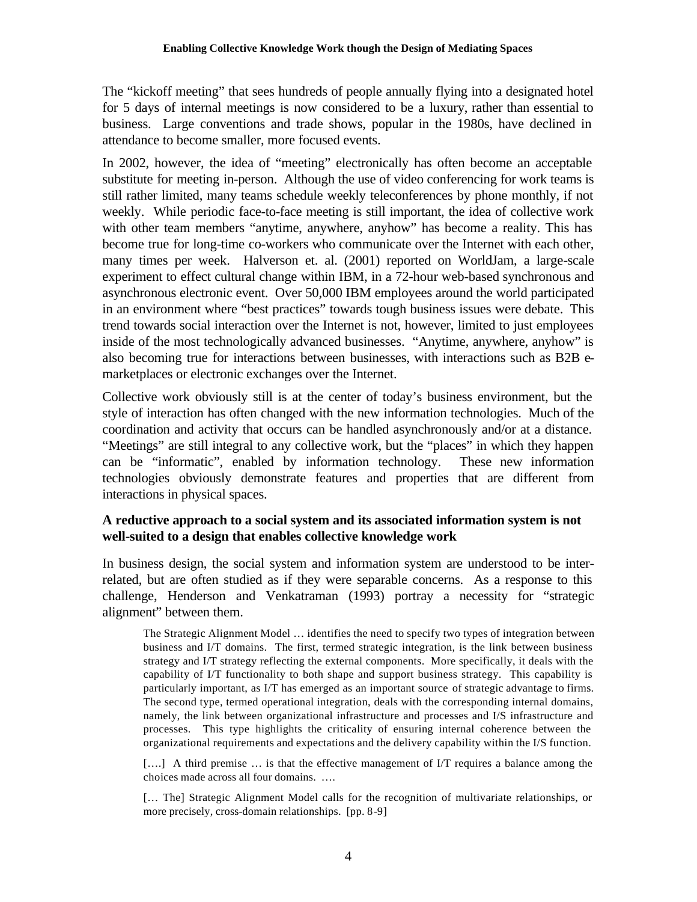The "kickoff meeting" that sees hundreds of people annually flying into a designated hotel for 5 days of internal meetings is now considered to be a luxury, rather than essential to business. Large conventions and trade shows, popular in the 1980s, have declined in attendance to become smaller, more focused events.

In 2002, however, the idea of "meeting" electronically has often become an acceptable substitute for meeting in-person. Although the use of video conferencing for work teams is still rather limited, many teams schedule weekly teleconferences by phone monthly, if not weekly. While periodic face-to-face meeting is still important, the idea of collective work with other team members "anytime, anywhere, anyhow" has become a reality. This has become true for long-time co-workers who communicate over the Internet with each other, many times per week. Halverson et. al. (2001) reported on WorldJam, a large-scale experiment to effect cultural change within IBM, in a 72-hour web-based synchronous and asynchronous electronic event. Over 50,000 IBM employees around the world participated in an environment where "best practices" towards tough business issues were debate. This trend towards social interaction over the Internet is not, however, limited to just employees inside of the most technologically advanced businesses. "Anytime, anywhere, anyhow" is also becoming true for interactions between businesses, with interactions such as B2B emarketplaces or electronic exchanges over the Internet.

Collective work obviously still is at the center of today's business environment, but the style of interaction has often changed with the new information technologies. Much of the coordination and activity that occurs can be handled asynchronously and/or at a distance. "Meetings" are still integral to any collective work, but the "places" in which they happen can be "informatic", enabled by information technology. These new information technologies obviously demonstrate features and properties that are different from interactions in physical spaces.

## **A reductive approach to a social system and its associated information system is not well-suited to a design that enables collective knowledge work**

In business design, the social system and information system are understood to be interrelated, but are often studied as if they were separable concerns. As a response to this challenge, Henderson and Venkatraman (1993) portray a necessity for "strategic alignment" between them.

The Strategic Alignment Model … identifies the need to specify two types of integration between business and I/T domains. The first, termed strategic integration, is the link between business strategy and I/T strategy reflecting the external components. More specifically, it deals with the capability of I/T functionality to both shape and support business strategy. This capability is particularly important, as I/T has emerged as an important source of strategic advantage to firms. The second type, termed operational integration, deals with the corresponding internal domains, namely, the link between organizational infrastructure and processes and I/S infrastructure and processes. This type highlights the criticality of ensuring internal coherence between the organizational requirements and expectations and the delivery capability within the I/S function.

[....] A third premise ... is that the effective management of I/T requires a balance among the choices made across all four domains. ….

[... The] Strategic Alignment Model calls for the recognition of multivariate relationships, or more precisely, cross-domain relationships. [pp. 8-9]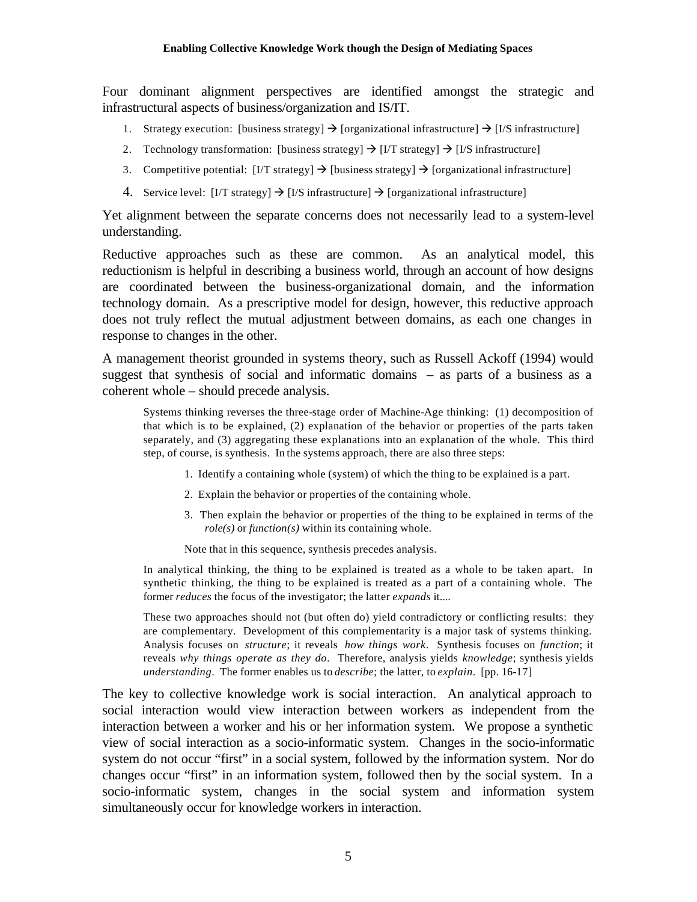Four dominant alignment perspectives are identified amongst the strategic and infrastructural aspects of business/organization and IS/IT.

- 1. Strategy execution: [business strategy]  $\rightarrow$  [organizational infrastructure]  $\rightarrow$  [I/S infrastructure]
- 2. Technology transformation: [business strategy]  $\rightarrow$  [I/T strategy]  $\rightarrow$  [I/S infrastructure]
- 3. Competitive potential:  $[I/T$  strategy]  $\rightarrow$  [business strategy]  $\rightarrow$  [organizational infrastructure]
- 4. Service level: [I/T strategy]  $\rightarrow$  [I/S infrastructure]  $\rightarrow$  [organizational infrastructure]

Yet alignment between the separate concerns does not necessarily lead to a system-level understanding.

Reductive approaches such as these are common. As an analytical model, this reductionism is helpful in describing a business world, through an account of how designs are coordinated between the business-organizational domain, and the information technology domain. As a prescriptive model for design, however, this reductive approach does not truly reflect the mutual adjustment between domains, as each one changes in response to changes in the other.

A management theorist grounded in systems theory, such as Russell Ackoff (1994) would suggest that synthesis of social and informatic domains – as parts of a business as a coherent whole – should precede analysis.

Systems thinking reverses the three-stage order of Machine-Age thinking: (1) decomposition of that which is to be explained, (2) explanation of the behavior or properties of the parts taken separately, and (3) aggregating these explanations into an explanation of the whole. This third step, of course, is synthesis. In the systems approach, there are also three steps:

- 1. Identify a containing whole (system) of which the thing to be explained is a part.
- 2. Explain the behavior or properties of the containing whole.
- 3. Then explain the behavior or properties of the thing to be explained in terms of the *role(s)* or *function(s)* within its containing whole.

Note that in this sequence, synthesis precedes analysis.

In analytical thinking, the thing to be explained is treated as a whole to be taken apart. In synthetic thinking, the thing to be explained is treated as a part of a containing whole. The former *reduces* the focus of the investigator; the latter *expands* it....

These two approaches should not (but often do) yield contradictory or conflicting results: they are complementary. Development of this complementarity is a major task of systems thinking. Analysis focuses on *structure*; it reveals *how things work*. Synthesis focuses on *function*; it reveals *why things operate as they do*. Therefore, analysis yields *knowledge*; synthesis yields *understanding*. The former enables us to *describe*; the latter, to *explain*. [pp. 16-17]

The key to collective knowledge work is social interaction. An analytical approach to social interaction would view interaction between workers as independent from the interaction between a worker and his or her information system. We propose a synthetic view of social interaction as a socio-informatic system. Changes in the socio-informatic system do not occur "first" in a social system, followed by the information system. Nor do changes occur "first" in an information system, followed then by the social system. In a socio-informatic system, changes in the social system and information system simultaneously occur for knowledge workers in interaction.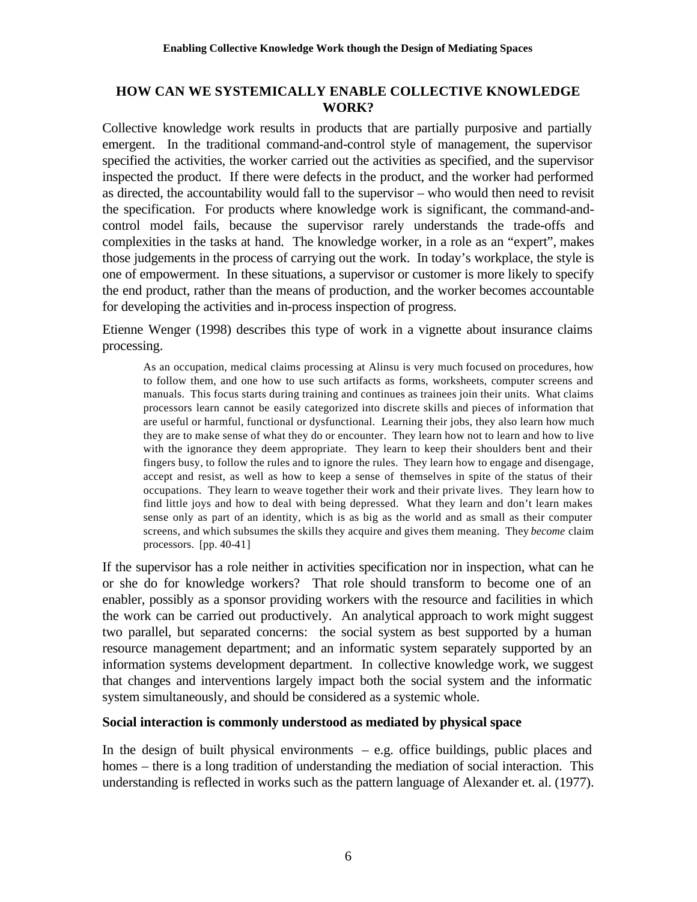## **HOW CAN WE SYSTEMICALLY ENABLE COLLECTIVE KNOWLEDGE WORK?**

Collective knowledge work results in products that are partially purposive and partially emergent. In the traditional command-and-control style of management, the supervisor specified the activities, the worker carried out the activities as specified, and the supervisor inspected the product. If there were defects in the product, and the worker had performed as directed, the accountability would fall to the supervisor – who would then need to revisit the specification. For products where knowledge work is significant, the command-andcontrol model fails, because the supervisor rarely understands the trade-offs and complexities in the tasks at hand. The knowledge worker, in a role as an "expert", makes those judgements in the process of carrying out the work. In today's workplace, the style is one of empowerment. In these situations, a supervisor or customer is more likely to specify the end product, rather than the means of production, and the worker becomes accountable for developing the activities and in-process inspection of progress.

Etienne Wenger (1998) describes this type of work in a vignette about insurance claims processing.

As an occupation, medical claims processing at Alinsu is very much focused on procedures, how to follow them, and one how to use such artifacts as forms, worksheets, computer screens and manuals. This focus starts during training and continues as trainees join their units. What claims processors learn cannot be easily categorized into discrete skills and pieces of information that are useful or harmful, functional or dysfunctional. Learning their jobs, they also learn how much they are to make sense of what they do or encounter. They learn how not to learn and how to live with the ignorance they deem appropriate. They learn to keep their shoulders bent and their fingers busy, to follow the rules and to ignore the rules. They learn how to engage and disengage, accept and resist, as well as how to keep a sense of themselves in spite of the status of their occupations. They learn to weave together their work and their private lives. They learn how to find little joys and how to deal with being depressed. What they learn and don't learn makes sense only as part of an identity, which is as big as the world and as small as their computer screens, and which subsumes the skills they acquire and gives them meaning. They *become* claim processors. [pp. 40-41]

If the supervisor has a role neither in activities specification nor in inspection, what can he or she do for knowledge workers? That role should transform to become one of an enabler, possibly as a sponsor providing workers with the resource and facilities in which the work can be carried out productively. An analytical approach to work might suggest two parallel, but separated concerns: the social system as best supported by a human resource management department; and an informatic system separately supported by an information systems development department. In collective knowledge work, we suggest that changes and interventions largely impact both the social system and the informatic system simultaneously, and should be considered as a systemic whole.

## **Social interaction is commonly understood as mediated by physical space**

In the design of built physical environments  $-$  e.g. office buildings, public places and homes – there is a long tradition of understanding the mediation of social interaction. This understanding is reflected in works such as the pattern language of Alexander et. al. (1977).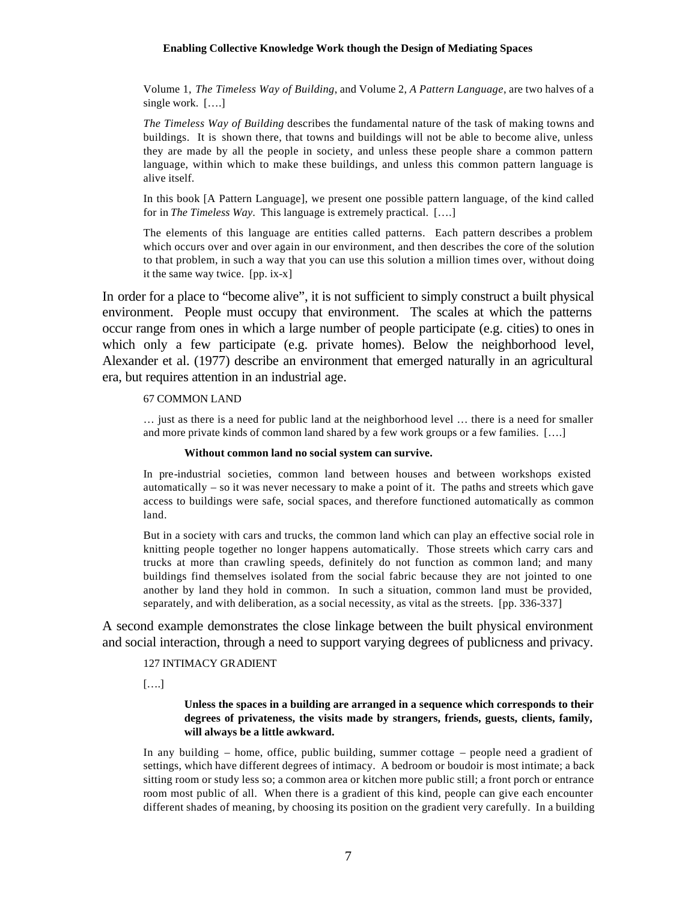Volume 1, *The Timeless Way of Building*, and Volume 2, *A Pattern Language*, are two halves of a single work. [….]

*The Timeless Way of Building* describes the fundamental nature of the task of making towns and buildings. It is shown there, that towns and buildings will not be able to become alive, unless they are made by all the people in society, and unless these people share a common pattern language, within which to make these buildings, and unless this common pattern language is alive itself.

In this book [A Pattern Language], we present one possible pattern language, of the kind called for in *The Timeless Way*. This language is extremely practical. [….]

The elements of this language are entities called patterns. Each pattern describes a problem which occurs over and over again in our environment, and then describes the core of the solution to that problem, in such a way that you can use this solution a million times over, without doing it the same way twice. [pp. ix-x]

In order for a place to "become alive", it is not sufficient to simply construct a built physical environment. People must occupy that environment. The scales at which the patterns occur range from ones in which a large number of people participate (e.g. cities) to ones in which only a few participate (e.g. private homes). Below the neighborhood level, Alexander et al. (1977) describe an environment that emerged naturally in an agricultural era, but requires attention in an industrial age.

#### 67 COMMON LAND

… just as there is a need for public land at the neighborhood level … there is a need for smaller and more private kinds of common land shared by a few work groups or a few families. [….]

#### **Without common land no social system can survive.**

In pre-industrial societies, common land between houses and between workshops existed automatically – so it was never necessary to make a point of it. The paths and streets which gave access to buildings were safe, social spaces, and therefore functioned automatically as common land.

But in a society with cars and trucks, the common land which can play an effective social role in knitting people together no longer happens automatically. Those streets which carry cars and trucks at more than crawling speeds, definitely do not function as common land; and many buildings find themselves isolated from the social fabric because they are not jointed to one another by land they hold in common. In such a situation, common land must be provided, separately, and with deliberation, as a social necessity, as vital as the streets. [pp. 336-337]

A second example demonstrates the close linkage between the built physical environment and social interaction, through a need to support varying degrees of publicness and privacy.

### 127 INTIMACY GRADIENT

[….]

### **Unless the spaces in a building are arranged in a sequence which corresponds to their degrees of privateness, the visits made by strangers, friends, guests, clients, family, will always be a little awkward.**

In any building – home, office, public building, summer cottage – people need a gradient of settings, which have different degrees of intimacy. A bedroom or boudoir is most intimate; a back sitting room or study less so; a common area or kitchen more public still; a front porch or entrance room most public of all. When there is a gradient of this kind, people can give each encounter different shades of meaning, by choosing its position on the gradient very carefully. In a building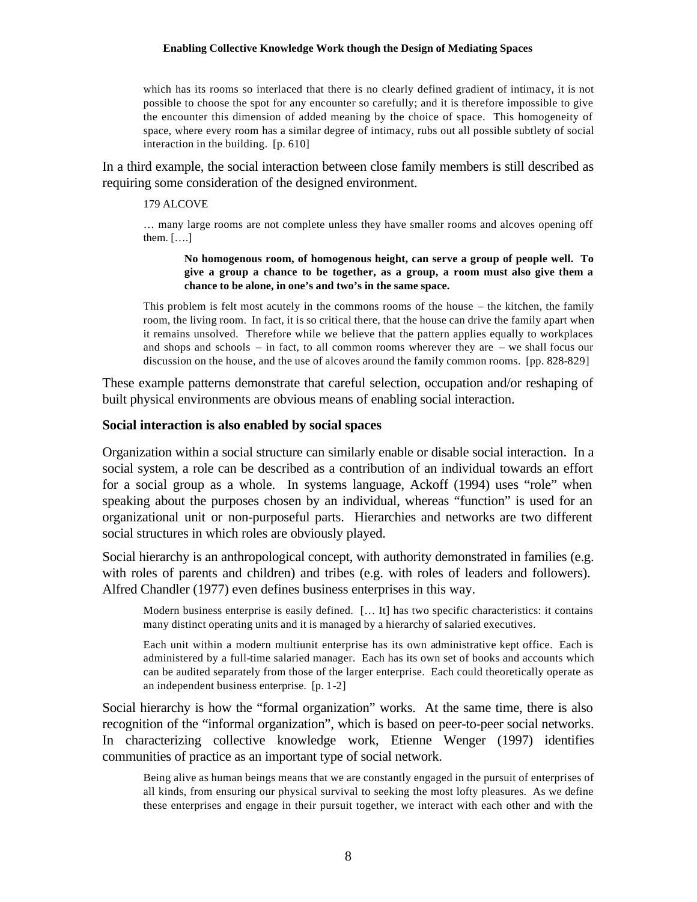which has its rooms so interlaced that there is no clearly defined gradient of intimacy, it is not possible to choose the spot for any encounter so carefully; and it is therefore impossible to give the encounter this dimension of added meaning by the choice of space. This homogeneity of space, where every room has a similar degree of intimacy, rubs out all possible subtlety of social interaction in the building. [p. 610]

In a third example, the social interaction between close family members is still described as requiring some consideration of the designed environment.

### 179 ALCOVE

… many large rooms are not complete unless they have smaller rooms and alcoves opening off them. [….]

**No homogenous room, of homogenous height, can serve a group of people well. To give a group a chance to be together, as a group, a room must also give them a chance to be alone, in one's and two's in the same space.**

This problem is felt most acutely in the commons rooms of the house – the kitchen, the family room, the living room. In fact, it is so critical there, that the house can drive the family apart when it remains unsolved. Therefore while we believe that the pattern applies equally to workplaces and shops and schools – in fact, to all common rooms wherever they are – we shall focus our discussion on the house, and the use of alcoves around the family common rooms. [pp. 828-829]

These example patterns demonstrate that careful selection, occupation and/or reshaping of built physical environments are obvious means of enabling social interaction.

### **Social interaction is also enabled by social spaces**

Organization within a social structure can similarly enable or disable social interaction. In a social system, a role can be described as a contribution of an individual towards an effort for a social group as a whole. In systems language, Ackoff (1994) uses "role" when speaking about the purposes chosen by an individual, whereas "function" is used for an organizational unit or non-purposeful parts. Hierarchies and networks are two different social structures in which roles are obviously played.

Social hierarchy is an anthropological concept, with authority demonstrated in families (e.g. with roles of parents and children) and tribes (e.g. with roles of leaders and followers). Alfred Chandler (1977) even defines business enterprises in this way.

Modern business enterprise is easily defined. [... It] has two specific characteristics: it contains many distinct operating units and it is managed by a hierarchy of salaried executives.

Each unit within a modern multiunit enterprise has its own administrative kept office. Each is administered by a full-time salaried manager. Each has its own set of books and accounts which can be audited separately from those of the larger enterprise. Each could theoretically operate as an independent business enterprise. [p. 1-2]

Social hierarchy is how the "formal organization" works. At the same time, there is also recognition of the "informal organization", which is based on peer-to-peer social networks. In characterizing collective knowledge work, Etienne Wenger (1997) identifies communities of practice as an important type of social network.

Being alive as human beings means that we are constantly engaged in the pursuit of enterprises of all kinds, from ensuring our physical survival to seeking the most lofty pleasures. As we define these enterprises and engage in their pursuit together, we interact with each other and with the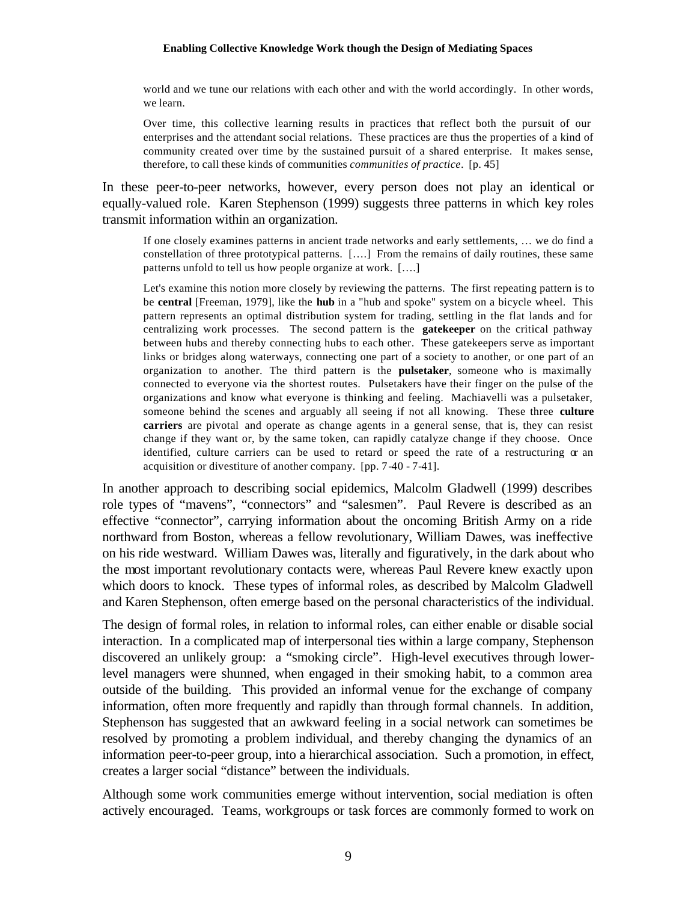world and we tune our relations with each other and with the world accordingly. In other words, we learn.

Over time, this collective learning results in practices that reflect both the pursuit of our enterprises and the attendant social relations. These practices are thus the properties of a kind of community created over time by the sustained pursuit of a shared enterprise. It makes sense, therefore, to call these kinds of communities *communities of practice*. [p. 45]

In these peer-to-peer networks, however, every person does not play an identical or equally-valued role. Karen Stephenson (1999) suggests three patterns in which key roles transmit information within an organization.

If one closely examines patterns in ancient trade networks and early settlements, … we do find a constellation of three prototypical patterns. [….] From the remains of daily routines, these same patterns unfold to tell us how people organize at work. [….]

Let's examine this notion more closely by reviewing the patterns. The first repeating pattern is to be **central** [Freeman, 1979], like the **hub** in a "hub and spoke" system on a bicycle wheel. This pattern represents an optimal distribution system for trading, settling in the flat lands and for centralizing work processes. The second pattern is the **gatekeeper** on the critical pathway between hubs and thereby connecting hubs to each other. These gatekeepers serve as important links or bridges along waterways, connecting one part of a society to another, or one part of an organization to another. The third pattern is the **pulsetaker**, someone who is maximally connected to everyone via the shortest routes. Pulsetakers have their finger on the pulse of the organizations and know what everyone is thinking and feeling. Machiavelli was a pulsetaker, someone behind the scenes and arguably all seeing if not all knowing. These three **culture carriers** are pivotal and operate as change agents in a general sense, that is, they can resist change if they want or, by the same token, can rapidly catalyze change if they choose. Once identified, culture carriers can be used to retard or speed the rate of a restructuring or an acquisition or divestiture of another company. [pp. 7-40 - 7-41].

In another approach to describing social epidemics, Malcolm Gladwell (1999) describes role types of "mavens", "connectors" and "salesmen". Paul Revere is described as an effective "connector", carrying information about the oncoming British Army on a ride northward from Boston, whereas a fellow revolutionary, William Dawes, was ineffective on his ride westward. William Dawes was, literally and figuratively, in the dark about who the most important revolutionary contacts were, whereas Paul Revere knew exactly upon which doors to knock. These types of informal roles, as described by Malcolm Gladwell and Karen Stephenson, often emerge based on the personal characteristics of the individual.

The design of formal roles, in relation to informal roles, can either enable or disable social interaction. In a complicated map of interpersonal ties within a large company, Stephenson discovered an unlikely group: a "smoking circle". High-level executives through lowerlevel managers were shunned, when engaged in their smoking habit, to a common area outside of the building. This provided an informal venue for the exchange of company information, often more frequently and rapidly than through formal channels. In addition, Stephenson has suggested that an awkward feeling in a social network can sometimes be resolved by promoting a problem individual, and thereby changing the dynamics of an information peer-to-peer group, into a hierarchical association. Such a promotion, in effect, creates a larger social "distance" between the individuals.

Although some work communities emerge without intervention, social mediation is often actively encouraged. Teams, workgroups or task forces are commonly formed to work on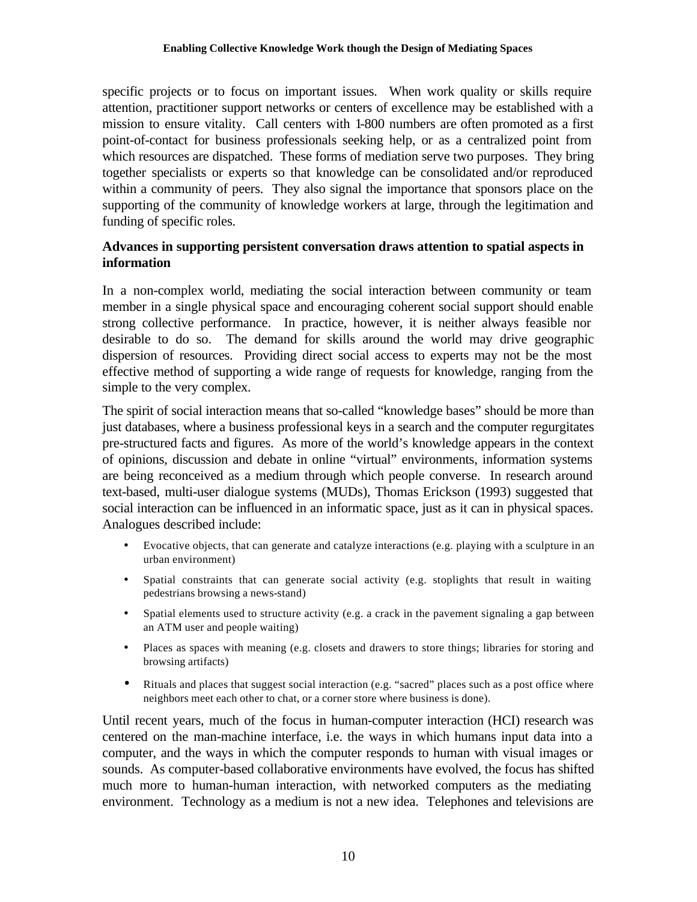specific projects or to focus on important issues. When work quality or skills require attention, practitioner support networks or centers of excellence may be established with a mission to ensure vitality. Call centers with 1-800 numbers are often promoted as a first point-of-contact for business professionals seeking help, or as a centralized point from which resources are dispatched. These forms of mediation serve two purposes. They bring together specialists or experts so that knowledge can be consolidated and/or reproduced within a community of peers. They also signal the importance that sponsors place on the supporting of the community of knowledge workers at large, through the legitimation and funding of specific roles.

## **Advances in supporting persistent conversation draws attention to spatial aspects in information**

In a non-complex world, mediating the social interaction between community or team member in a single physical space and encouraging coherent social support should enable strong collective performance. In practice, however, it is neither always feasible nor desirable to do so. The demand for skills around the world may drive geographic dispersion of resources. Providing direct social access to experts may not be the most effective method of supporting a wide range of requests for knowledge, ranging from the simple to the very complex.

The spirit of social interaction means that so-called "knowledge bases" should be more than just databases, where a business professional keys in a search and the computer regurgitates pre-structured facts and figures. As more of the world's knowledge appears in the context of opinions, discussion and debate in online "virtual" environments, information systems are being reconceived as a medium through which people converse. In research around text-based, multi-user dialogue systems (MUDs), Thomas Erickson (1993) suggested that social interaction can be influenced in an informatic space, just as it can in physical spaces. Analogues described include:

- Evocative objects, that can generate and catalyze interactions (e.g. playing with a sculpture in an urban environment)
- Spatial constraints that can generate social activity (e.g. stoplights that result in waiting pedestrians browsing a news-stand)
- Spatial elements used to structure activity (e.g. a crack in the pavement signaling a gap between an ATM user and people waiting)
- Places as spaces with meaning (e.g. closets and drawers to store things; libraries for storing and browsing artifacts)
- Rituals and places that suggest social interaction (e.g. "sacred" places such as a post office where neighbors meet each other to chat, or a corner store where business is done).

Until recent years, much of the focus in human-computer interaction (HCI) research was centered on the man-machine interface, i.e. the ways in which humans input data into a computer, and the ways in which the computer responds to human with visual images or sounds. As computer-based collaborative environments have evolved, the focus has shifted much more to human-human interaction, with networked computers as the mediating environment. Technology as a medium is not a new idea. Telephones and televisions are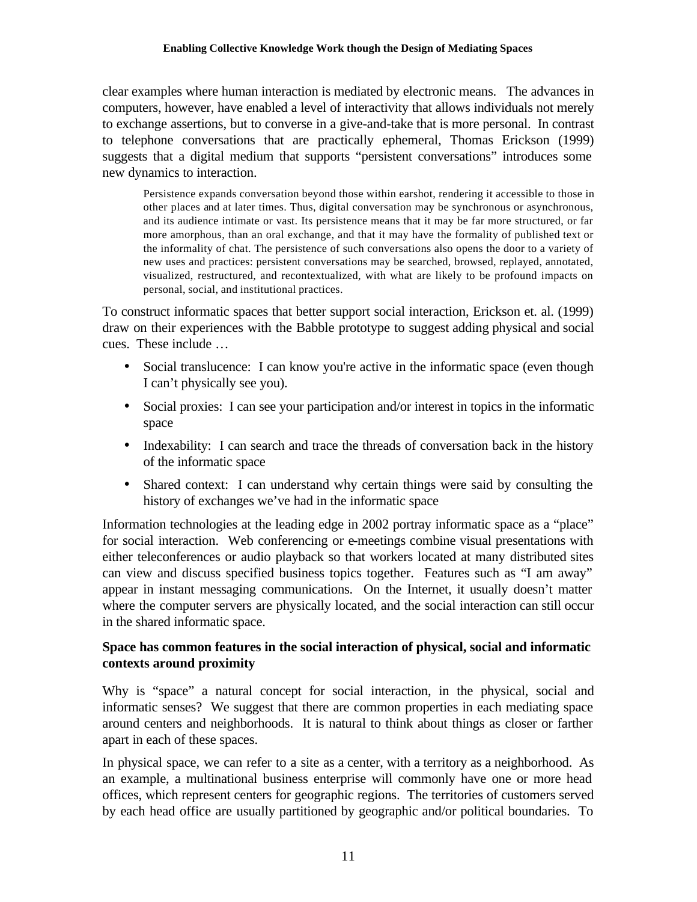clear examples where human interaction is mediated by electronic means. The advances in computers, however, have enabled a level of interactivity that allows individuals not merely to exchange assertions, but to converse in a give-and-take that is more personal. In contrast to telephone conversations that are practically ephemeral, Thomas Erickson (1999) suggests that a digital medium that supports "persistent conversations" introduces some new dynamics to interaction.

Persistence expands conversation beyond those within earshot, rendering it accessible to those in other places and at later times. Thus, digital conversation may be synchronous or asynchronous, and its audience intimate or vast. Its persistence means that it may be far more structured, or far more amorphous, than an oral exchange, and that it may have the formality of published text or the informality of chat. The persistence of such conversations also opens the door to a variety of new uses and practices: persistent conversations may be searched, browsed, replayed, annotated, visualized, restructured, and recontextualized, with what are likely to be profound impacts on personal, social, and institutional practices.

To construct informatic spaces that better support social interaction, Erickson et. al. (1999) draw on their experiences with the Babble prototype to suggest adding physical and social cues. These include …

- Social translucence: I can know you're active in the informatic space (even though I can't physically see you).
- Social proxies: I can see your participation and/or interest in topics in the informatic space
- Indexability: I can search and trace the threads of conversation back in the history of the informatic space
- Shared context: I can understand why certain things were said by consulting the history of exchanges we've had in the informatic space

Information technologies at the leading edge in 2002 portray informatic space as a "place" for social interaction. Web conferencing or e-meetings combine visual presentations with either teleconferences or audio playback so that workers located at many distributed sites can view and discuss specified business topics together. Features such as "I am away" appear in instant messaging communications. On the Internet, it usually doesn't matter where the computer servers are physically located, and the social interaction can still occur in the shared informatic space.

## **Space has common features in the social interaction of physical, social and informatic contexts around proximity**

Why is "space" a natural concept for social interaction, in the physical, social and informatic senses? We suggest that there are common properties in each mediating space around centers and neighborhoods. It is natural to think about things as closer or farther apart in each of these spaces.

In physical space, we can refer to a site as a center, with a territory as a neighborhood. As an example, a multinational business enterprise will commonly have one or more head offices, which represent centers for geographic regions. The territories of customers served by each head office are usually partitioned by geographic and/or political boundaries. To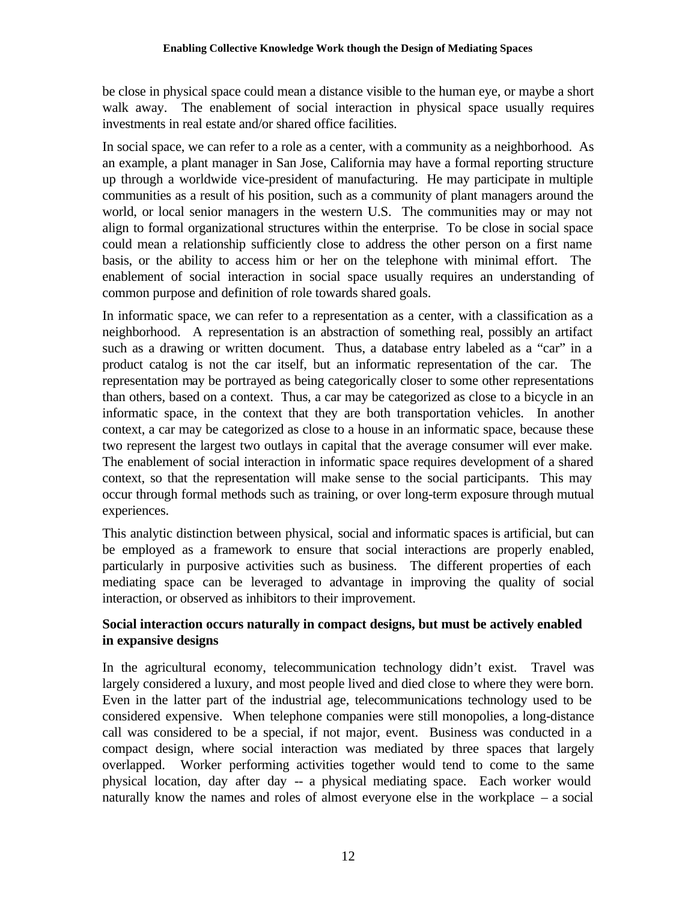be close in physical space could mean a distance visible to the human eye, or maybe a short walk away. The enablement of social interaction in physical space usually requires investments in real estate and/or shared office facilities.

In social space, we can refer to a role as a center, with a community as a neighborhood. As an example, a plant manager in San Jose, California may have a formal reporting structure up through a worldwide vice-president of manufacturing. He may participate in multiple communities as a result of his position, such as a community of plant managers around the world, or local senior managers in the western U.S. The communities may or may not align to formal organizational structures within the enterprise. To be close in social space could mean a relationship sufficiently close to address the other person on a first name basis, or the ability to access him or her on the telephone with minimal effort. The enablement of social interaction in social space usually requires an understanding of common purpose and definition of role towards shared goals.

In informatic space, we can refer to a representation as a center, with a classification as a neighborhood. A representation is an abstraction of something real, possibly an artifact such as a drawing or written document. Thus, a database entry labeled as a "car" in a product catalog is not the car itself, but an informatic representation of the car. The representation may be portrayed as being categorically closer to some other representations than others, based on a context. Thus, a car may be categorized as close to a bicycle in an informatic space, in the context that they are both transportation vehicles. In another context, a car may be categorized as close to a house in an informatic space, because these two represent the largest two outlays in capital that the average consumer will ever make. The enablement of social interaction in informatic space requires development of a shared context, so that the representation will make sense to the social participants. This may occur through formal methods such as training, or over long-term exposure through mutual experiences.

This analytic distinction between physical, social and informatic spaces is artificial, but can be employed as a framework to ensure that social interactions are properly enabled, particularly in purposive activities such as business. The different properties of each mediating space can be leveraged to advantage in improving the quality of social interaction, or observed as inhibitors to their improvement.

# **Social interaction occurs naturally in compact designs, but must be actively enabled in expansive designs**

In the agricultural economy, telecommunication technology didn't exist. Travel was largely considered a luxury, and most people lived and died close to where they were born. Even in the latter part of the industrial age, telecommunications technology used to be considered expensive. When telephone companies were still monopolies, a long-distance call was considered to be a special, if not major, event. Business was conducted in a compact design, where social interaction was mediated by three spaces that largely overlapped. Worker performing activities together would tend to come to the same physical location, day after day -- a physical mediating space. Each worker would naturally know the names and roles of almost everyone else in the workplace – a social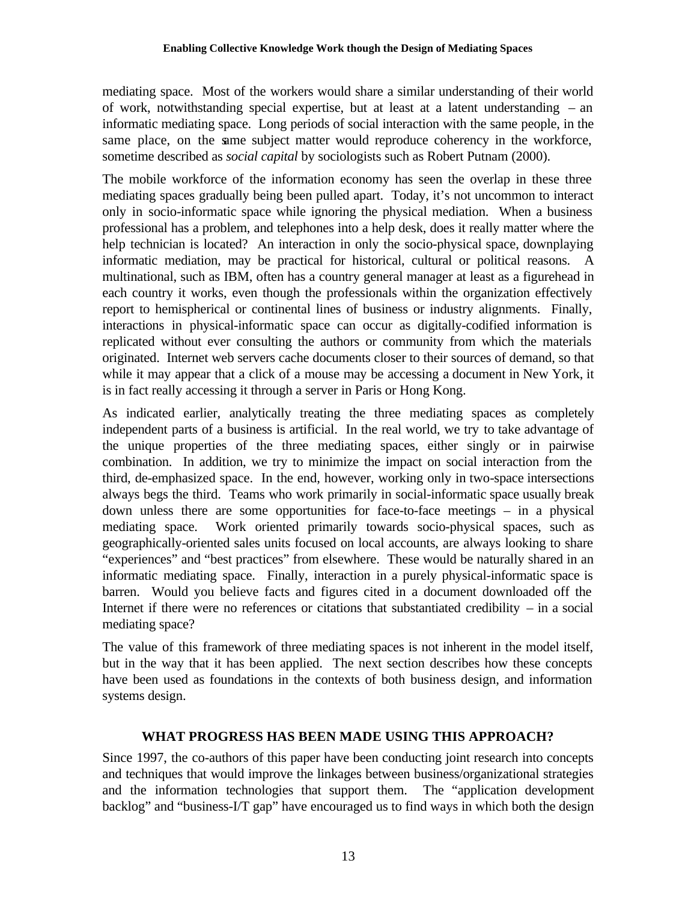mediating space. Most of the workers would share a similar understanding of their world of work, notwithstanding special expertise, but at least at a latent understanding – an informatic mediating space. Long periods of social interaction with the same people, in the same place, on the same subject matter would reproduce coherency in the workforce, sometime described as *social capital* by sociologists such as Robert Putnam (2000).

The mobile workforce of the information economy has seen the overlap in these three mediating spaces gradually being been pulled apart. Today, it's not uncommon to interact only in socio-informatic space while ignoring the physical mediation. When a business professional has a problem, and telephones into a help desk, does it really matter where the help technician is located? An interaction in only the socio-physical space, downplaying informatic mediation, may be practical for historical, cultural or political reasons. A multinational, such as IBM, often has a country general manager at least as a figurehead in each country it works, even though the professionals within the organization effectively report to hemispherical or continental lines of business or industry alignments. Finally, interactions in physical-informatic space can occur as digitally-codified information is replicated without ever consulting the authors or community from which the materials originated. Internet web servers cache documents closer to their sources of demand, so that while it may appear that a click of a mouse may be accessing a document in New York, it is in fact really accessing it through a server in Paris or Hong Kong.

As indicated earlier, analytically treating the three mediating spaces as completely independent parts of a business is artificial. In the real world, we try to take advantage of the unique properties of the three mediating spaces, either singly or in pairwise combination. In addition, we try to minimize the impact on social interaction from the third, de-emphasized space. In the end, however, working only in two-space intersections always begs the third. Teams who work primarily in social-informatic space usually break down unless there are some opportunities for face-to-face meetings – in a physical mediating space. Work oriented primarily towards socio-physical spaces, such as geographically-oriented sales units focused on local accounts, are always looking to share "experiences" and "best practices" from elsewhere. These would be naturally shared in an informatic mediating space. Finally, interaction in a purely physical-informatic space is barren. Would you believe facts and figures cited in a document downloaded off the Internet if there were no references or citations that substantiated credibility  $-$  in a social mediating space?

The value of this framework of three mediating spaces is not inherent in the model itself, but in the way that it has been applied. The next section describes how these concepts have been used as foundations in the contexts of both business design, and information systems design.

# **WHAT PROGRESS HAS BEEN MADE USING THIS APPROACH?**

Since 1997, the co-authors of this paper have been conducting joint research into concepts and techniques that would improve the linkages between business/organizational strategies and the information technologies that support them. The "application development backlog" and "business-I/T gap" have encouraged us to find ways in which both the design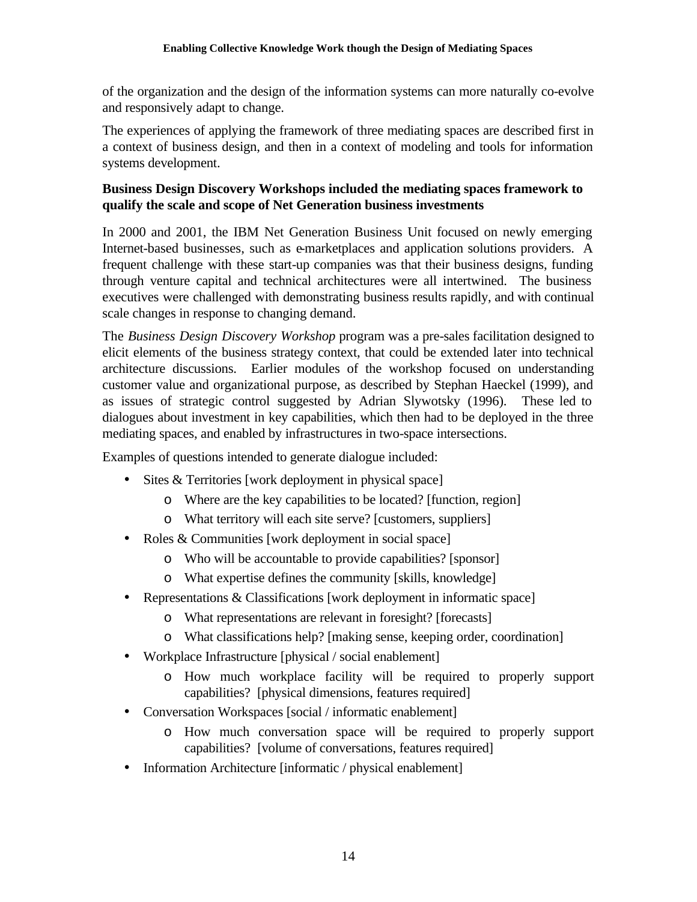of the organization and the design of the information systems can more naturally co-evolve and responsively adapt to change.

The experiences of applying the framework of three mediating spaces are described first in a context of business design, and then in a context of modeling and tools for information systems development.

## **Business Design Discovery Workshops included the mediating spaces framework to qualify the scale and scope of Net Generation business investments**

In 2000 and 2001, the IBM Net Generation Business Unit focused on newly emerging Internet-based businesses, such as e-marketplaces and application solutions providers. A frequent challenge with these start-up companies was that their business designs, funding through venture capital and technical architectures were all intertwined. The business executives were challenged with demonstrating business results rapidly, and with continual scale changes in response to changing demand.

The *Business Design Discovery Workshop* program was a pre-sales facilitation designed to elicit elements of the business strategy context, that could be extended later into technical architecture discussions. Earlier modules of the workshop focused on understanding customer value and organizational purpose, as described by Stephan Haeckel (1999), and as issues of strategic control suggested by Adrian Slywotsky (1996). These led to dialogues about investment in key capabilities, which then had to be deployed in the three mediating spaces, and enabled by infrastructures in two-space intersections.

Examples of questions intended to generate dialogue included:

- Sites & Territories [work deployment in physical space]
	- o Where are the key capabilities to be located? [function, region]
	- o What territory will each site serve? [customers, suppliers]
- Roles & Communities [work deployment in social space]
	- o Who will be accountable to provide capabilities? [sponsor]
	- o What expertise defines the community [skills, knowledge]
- Representations & Classifications [work deployment in informatic space]
	- o What representations are relevant in foresight? [forecasts]
	- o What classifications help? [making sense, keeping order, coordination]
- Workplace Infrastructure [physical / social enablement]
	- o How much workplace facility will be required to properly support capabilities? [physical dimensions, features required]
- Conversation Workspaces [social / informatic enablement]
	- o How much conversation space will be required to properly support capabilities? [volume of conversations, features required]
- Information Architecture [informatic / physical enablement]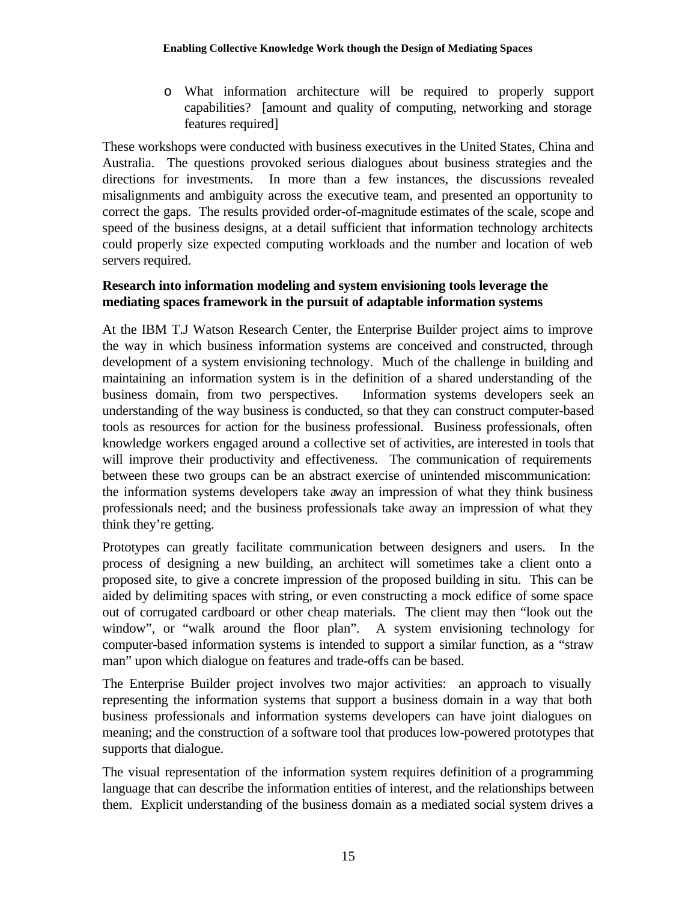o What information architecture will be required to properly support capabilities? [amount and quality of computing, networking and storage features required]

These workshops were conducted with business executives in the United States, China and Australia. The questions provoked serious dialogues about business strategies and the directions for investments. In more than a few instances, the discussions revealed misalignments and ambiguity across the executive team, and presented an opportunity to correct the gaps. The results provided order-of-magnitude estimates of the scale, scope and speed of the business designs, at a detail sufficient that information technology architects could properly size expected computing workloads and the number and location of web servers required.

## **Research into information modeling and system envisioning tools leverage the mediating spaces framework in the pursuit of adaptable information systems**

At the IBM T.J Watson Research Center, the Enterprise Builder project aims to improve the way in which business information systems are conceived and constructed, through development of a system envisioning technology. Much of the challenge in building and maintaining an information system is in the definition of a shared understanding of the business domain, from two perspectives. Information systems developers seek an understanding of the way business is conducted, so that they can construct computer-based tools as resources for action for the business professional. Business professionals, often knowledge workers engaged around a collective set of activities, are interested in tools that will improve their productivity and effectiveness. The communication of requirements between these two groups can be an abstract exercise of unintended miscommunication: the information systems developers take away an impression of what they think business professionals need; and the business professionals take away an impression of what they think they're getting.

Prototypes can greatly facilitate communication between designers and users. In the process of designing a new building, an architect will sometimes take a client onto a proposed site, to give a concrete impression of the proposed building in situ. This can be aided by delimiting spaces with string, or even constructing a mock edifice of some space out of corrugated cardboard or other cheap materials. The client may then "look out the window", or "walk around the floor plan". A system envisioning technology for computer-based information systems is intended to support a similar function, as a "straw man" upon which dialogue on features and trade-offs can be based.

The Enterprise Builder project involves two major activities: an approach to visually representing the information systems that support a business domain in a way that both business professionals and information systems developers can have joint dialogues on meaning; and the construction of a software tool that produces low-powered prototypes that supports that dialogue.

The visual representation of the information system requires definition of a programming language that can describe the information entities of interest, and the relationships between them. Explicit understanding of the business domain as a mediated social system drives a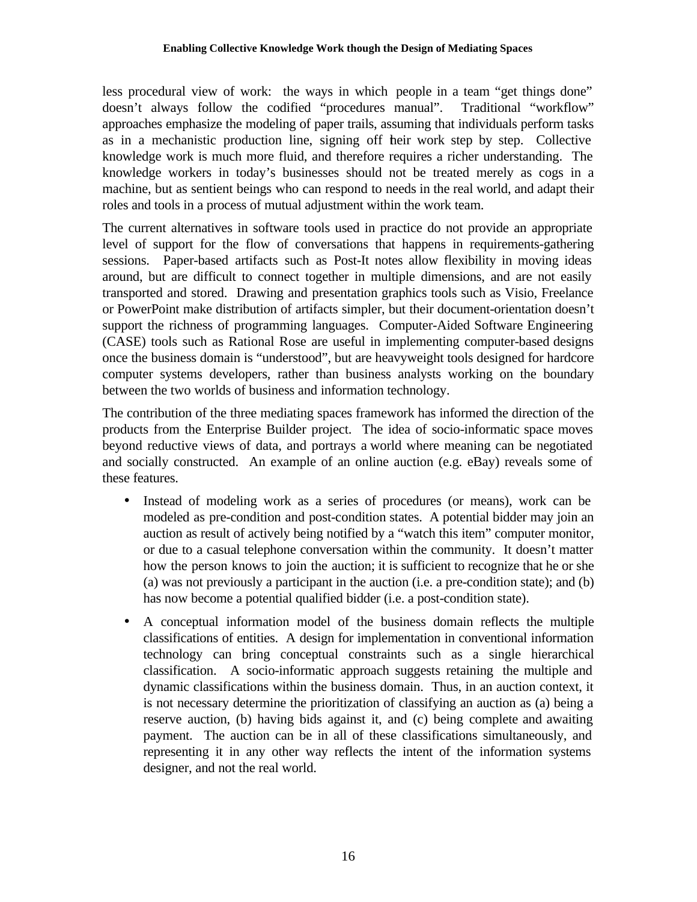less procedural view of work: the ways in which people in a team "get things done" doesn't always follow the codified "procedures manual". Traditional "workflow" approaches emphasize the modeling of paper trails, assuming that individuals perform tasks as in a mechanistic production line, signing off their work step by step. Collective knowledge work is much more fluid, and therefore requires a richer understanding. The knowledge workers in today's businesses should not be treated merely as cogs in a machine, but as sentient beings who can respond to needs in the real world, and adapt their roles and tools in a process of mutual adjustment within the work team.

The current alternatives in software tools used in practice do not provide an appropriate level of support for the flow of conversations that happens in requirements-gathering sessions. Paper-based artifacts such as Post-It notes allow flexibility in moving ideas around, but are difficult to connect together in multiple dimensions, and are not easily transported and stored. Drawing and presentation graphics tools such as Visio, Freelance or PowerPoint make distribution of artifacts simpler, but their document-orientation doesn't support the richness of programming languages. Computer-Aided Software Engineering (CASE) tools such as Rational Rose are useful in implementing computer-based designs once the business domain is "understood", but are heavyweight tools designed for hardcore computer systems developers, rather than business analysts working on the boundary between the two worlds of business and information technology.

The contribution of the three mediating spaces framework has informed the direction of the products from the Enterprise Builder project. The idea of socio-informatic space moves beyond reductive views of data, and portrays a world where meaning can be negotiated and socially constructed. An example of an online auction (e.g. eBay) reveals some of these features.

- Instead of modeling work as a series of procedures (or means), work can be modeled as pre-condition and post-condition states. A potential bidder may join an auction as result of actively being notified by a "watch this item" computer monitor, or due to a casual telephone conversation within the community. It doesn't matter how the person knows to join the auction; it is sufficient to recognize that he or she (a) was not previously a participant in the auction (i.e. a pre-condition state); and (b) has now become a potential qualified bidder (i.e. a post-condition state).
- A conceptual information model of the business domain reflects the multiple classifications of entities. A design for implementation in conventional information technology can bring conceptual constraints such as a single hierarchical classification. A socio-informatic approach suggests retaining the multiple and dynamic classifications within the business domain. Thus, in an auction context, it is not necessary determine the prioritization of classifying an auction as (a) being a reserve auction, (b) having bids against it, and (c) being complete and awaiting payment. The auction can be in all of these classifications simultaneously, and representing it in any other way reflects the intent of the information systems designer, and not the real world.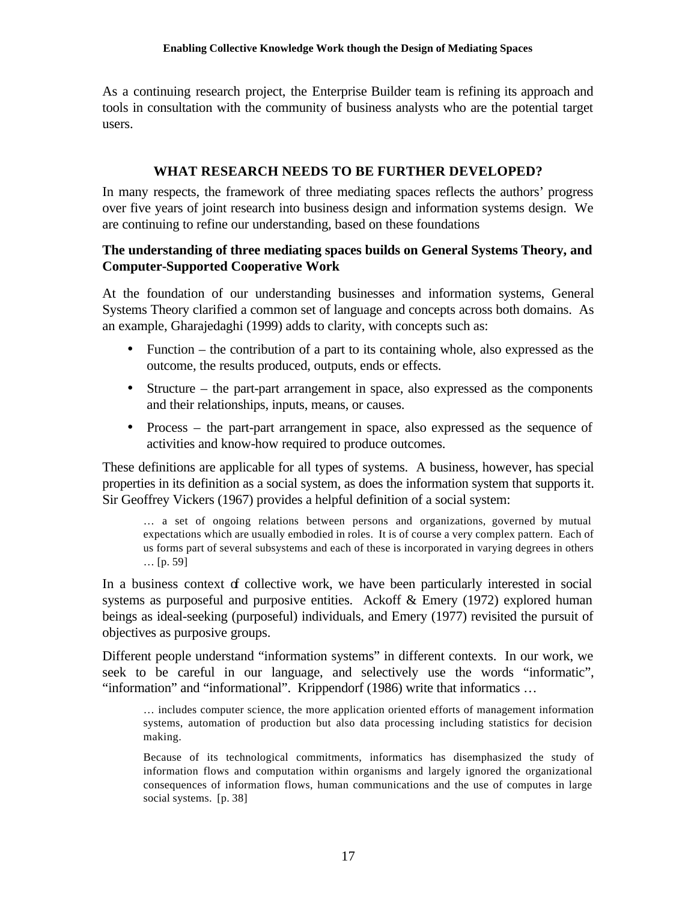As a continuing research project, the Enterprise Builder team is refining its approach and tools in consultation with the community of business analysts who are the potential target users.

# **WHAT RESEARCH NEEDS TO BE FURTHER DEVELOPED?**

In many respects, the framework of three mediating spaces reflects the authors' progress over five years of joint research into business design and information systems design. We are continuing to refine our understanding, based on these foundations

## **The understanding of three mediating spaces builds on General Systems Theory, and Computer-Supported Cooperative Work**

At the foundation of our understanding businesses and information systems, General Systems Theory clarified a common set of language and concepts across both domains. As an example, Gharajedaghi (1999) adds to clarity, with concepts such as:

- Function the contribution of a part to its containing whole, also expressed as the outcome, the results produced, outputs, ends or effects.
- Structure the part-part arrangement in space, also expressed as the components and their relationships, inputs, means, or causes.
- Process the part-part arrangement in space, also expressed as the sequence of activities and know-how required to produce outcomes.

These definitions are applicable for all types of systems. A business, however, has special properties in its definition as a social system, as does the information system that supports it. Sir Geoffrey Vickers (1967) provides a helpful definition of a social system:

… a set of ongoing relations between persons and organizations, governed by mutual expectations which are usually embodied in roles. It is of course a very complex pattern. Each of us forms part of several subsystems and each of these is incorporated in varying degrees in others … [p. 59]

In a business context of collective work, we have been particularly interested in social systems as purposeful and purposive entities. Ackoff & Emery (1972) explored human beings as ideal-seeking (purposeful) individuals, and Emery (1977) revisited the pursuit of objectives as purposive groups.

Different people understand "information systems" in different contexts. In our work, we seek to be careful in our language, and selectively use the words "informatic", "information" and "informational". Krippendorf (1986) write that informatics …

… includes computer science, the more application oriented efforts of management information systems, automation of production but also data processing including statistics for decision making.

Because of its technological commitments, informatics has disemphasized the study of information flows and computation within organisms and largely ignored the organizational consequences of information flows, human communications and the use of computes in large social systems. [p. 38]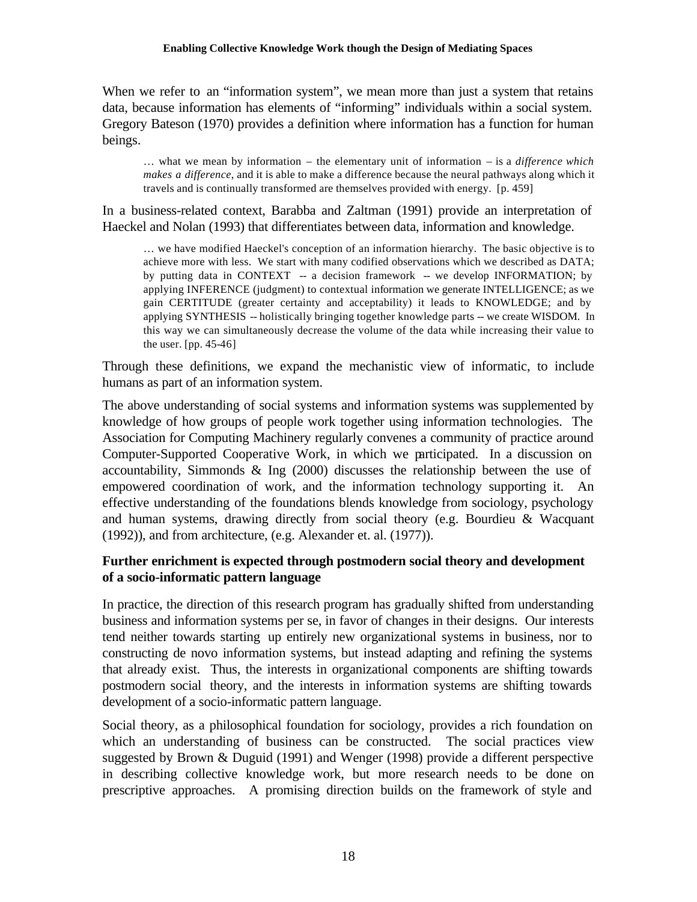When we refer to an "information system", we mean more than just a system that retains data, because information has elements of "informing" individuals within a social system. Gregory Bateson (1970) provides a definition where information has a function for human beings.

… what we mean by information – the elementary unit of information – is a *difference which makes a difference*, and it is able to make a difference because the neural pathways along which it travels and is continually transformed are themselves provided with energy. [p. 459]

In a business-related context, Barabba and Zaltman (1991) provide an interpretation of Haeckel and Nolan (1993) that differentiates between data, information and knowledge.

… we have modified Haeckel's conception of an information hierarchy. The basic objective is to achieve more with less. We start with many codified observations which we described as DATA; by putting data in CONTEXT -- a decision framework -- we develop INFORMATION; by applying INFERENCE (judgment) to contextual information we generate INTELLIGENCE; as we gain CERTITUDE (greater certainty and acceptability) it leads to KNOWLEDGE; and by applying SYNTHESIS -- holistically bringing together knowledge parts -- we create WISDOM. In this way we can simultaneously decrease the volume of the data while increasing their value to the user. [pp. 45-46]

Through these definitions, we expand the mechanistic view of informatic, to include humans as part of an information system.

The above understanding of social systems and information systems was supplemented by knowledge of how groups of people work together using information technologies. The Association for Computing Machinery regularly convenes a community of practice around Computer-Supported Cooperative Work, in which we participated. In a discussion on accountability, Simmonds & Ing (2000) discusses the relationship between the use of empowered coordination of work, and the information technology supporting it. An effective understanding of the foundations blends knowledge from sociology, psychology and human systems, drawing directly from social theory (e.g. Bourdieu & Wacquant (1992)), and from architecture, (e.g. Alexander et. al. (1977)).

## **Further enrichment is expected through postmodern social theory and development of a socio-informatic pattern language**

In practice, the direction of this research program has gradually shifted from understanding business and information systems per se, in favor of changes in their designs. Our interests tend neither towards starting up entirely new organizational systems in business, nor to constructing de novo information systems, but instead adapting and refining the systems that already exist. Thus, the interests in organizational components are shifting towards postmodern social theory, and the interests in information systems are shifting towards development of a socio-informatic pattern language.

Social theory, as a philosophical foundation for sociology, provides a rich foundation on which an understanding of business can be constructed. The social practices view suggested by Brown & Duguid (1991) and Wenger (1998) provide a different perspective in describing collective knowledge work, but more research needs to be done on prescriptive approaches. A promising direction builds on the framework of style and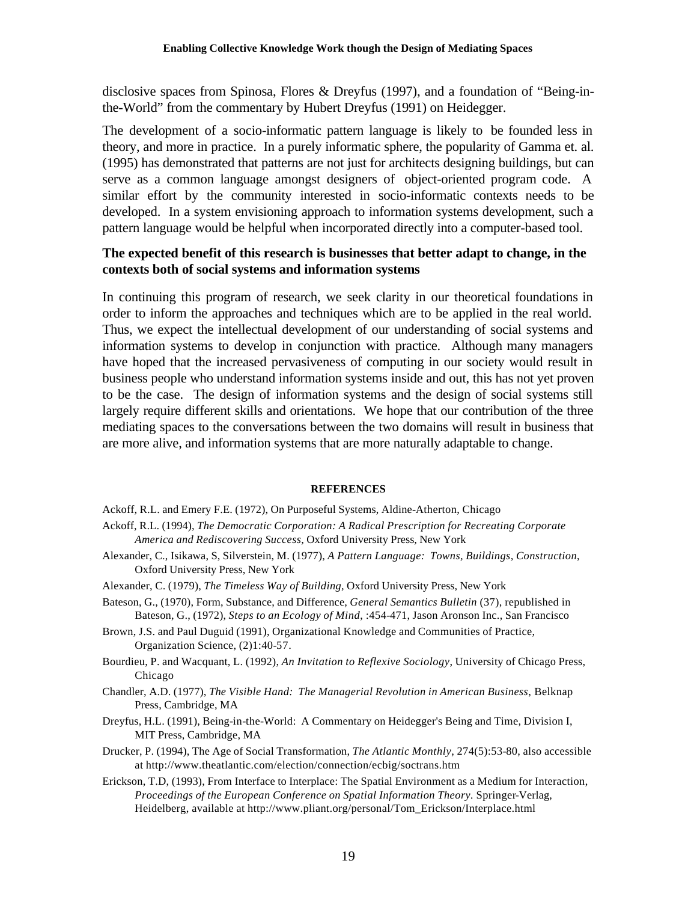disclosive spaces from Spinosa, Flores & Dreyfus (1997), and a foundation of "Being-inthe-World" from the commentary by Hubert Dreyfus (1991) on Heidegger.

The development of a socio-informatic pattern language is likely to be founded less in theory, and more in practice. In a purely informatic sphere, the popularity of Gamma et. al. (1995) has demonstrated that patterns are not just for architects designing buildings, but can serve as a common language amongst designers of object-oriented program code. A similar effort by the community interested in socio-informatic contexts needs to be developed. In a system envisioning approach to information systems development, such a pattern language would be helpful when incorporated directly into a computer-based tool.

## **The expected benefit of this research is businesses that better adapt to change, in the contexts both of social systems and information systems**

In continuing this program of research, we seek clarity in our theoretical foundations in order to inform the approaches and techniques which are to be applied in the real world. Thus, we expect the intellectual development of our understanding of social systems and information systems to develop in conjunction with practice. Although many managers have hoped that the increased pervasiveness of computing in our society would result in business people who understand information systems inside and out, this has not yet proven to be the case. The design of information systems and the design of social systems still largely require different skills and orientations. We hope that our contribution of the three mediating spaces to the conversations between the two domains will result in business that are more alive, and information systems that are more naturally adaptable to change.

### **REFERENCES**

- Ackoff, R.L. and Emery F.E. (1972), On Purposeful Systems, Aldine-Atherton, Chicago
- Ackoff, R.L. (1994), *The Democratic Corporation: A Radical Prescription for Recreating Corporate America and Rediscovering Success*, Oxford University Press, New York
- Alexander, C., Isikawa, S, Silverstein, M. (1977), *A Pattern Language: Towns, Buildings, Construction*, Oxford University Press, New York
- Alexander, C. (1979), *The Timeless Way of Building*, Oxford University Press, New York
- Bateson, G., (1970), Form, Substance, and Difference, *General Semantics Bulletin* (37), republished in Bateson, G., (1972), *Steps to an Ecology of Mind*, :454-471, Jason Aronson Inc., San Francisco
- Brown, J.S. and Paul Duguid (1991), Organizational Knowledge and Communities of Practice, Organization Science, (2)1:40-57.
- Bourdieu, P. and Wacquant, L. (1992), *An Invitation to Reflexive Sociology*, University of Chicago Press, Chicago
- Chandler, A.D. (1977), *The Visible Hand: The Managerial Revolution in American Business*, Belknap Press, Cambridge, MA
- Dreyfus, H.L. (1991), Being-in-the-World: A Commentary on Heidegger's Being and Time, Division I, MIT Press, Cambridge, MA
- Drucker, P. (1994), The Age of Social Transformation, *The Atlantic Monthly*, 274(5):53-80, also accessible at http://www.theatlantic.com/election/connection/ecbig/soctrans.htm
- Erickson, T.D, (1993), From Interface to Interplace: The Spatial Environment as a Medium for Interaction, *Proceedings of the European Conference on Spatial Information Theory.* Springer-Verlag, Heidelberg, available at http://www.pliant.org/personal/Tom\_Erickson/Interplace.html